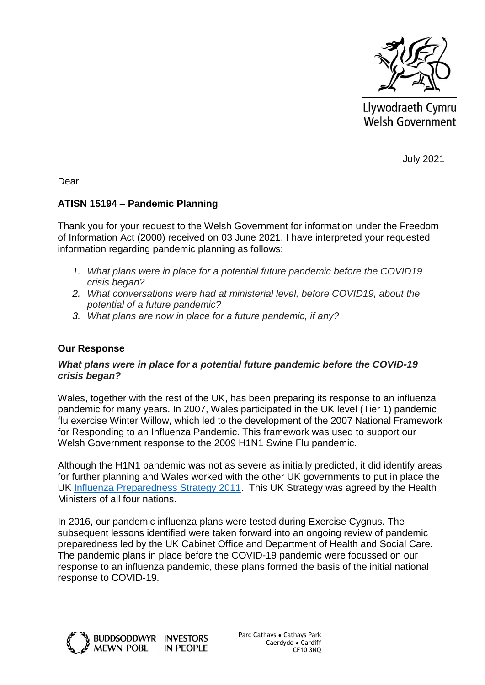

Llywodraeth Cymru Welsh Government

July 2021

Dear

# **ATISN 15194 – Pandemic Planning**

Thank you for your request to the Welsh Government for information under the Freedom of Information Act (2000) received on 03 June 2021. I have interpreted your requested information regarding pandemic planning as follows:

- *1. What plans were in place for a potential future pandemic before the COVID19 crisis began?*
- *2. What conversations were had at ministerial level, before COVID19, about the potential of a future pandemic?*
- *3. What plans are now in place for a future pandemic, if any?*

## **Our Response**

## *What plans were in place for a potential future pandemic before the COVID-19 crisis began?*

Wales, together with the rest of the UK, has been preparing its response to an influenza pandemic for many years. In 2007, Wales participated in the UK level (Tier 1) pandemic flu exercise Winter Willow, which led to the development of the 2007 National Framework for Responding to an Influenza Pandemic. This framework was used to support our Welsh Government response to the 2009 H1N1 Swine Flu pandemic.

Although the H1N1 pandemic was not as severe as initially predicted, it did identify areas for further planning and Wales worked with the other UK governments to put in place the UK [Influenza Preparedness Strategy 2011.](https://assets.publishing.service.gov.uk/government/uploads/system/uploads/attachment_data/file/213717/dh_131040.pdf) This UK Strategy was agreed by the Health Ministers of all four nations.

In 2016, our pandemic influenza plans were tested during Exercise Cygnus. The subsequent lessons identified were taken forward into an ongoing review of pandemic preparedness led by the UK Cabinet Office and Department of Health and Social Care. The pandemic plans in place before the COVID-19 pandemic were focussed on our response to an influenza pandemic, these plans formed the basis of the initial national response to COVID-19.



Parc Cathays ● Cathays Park Caerdydd ● Cardiff CF10 3NQ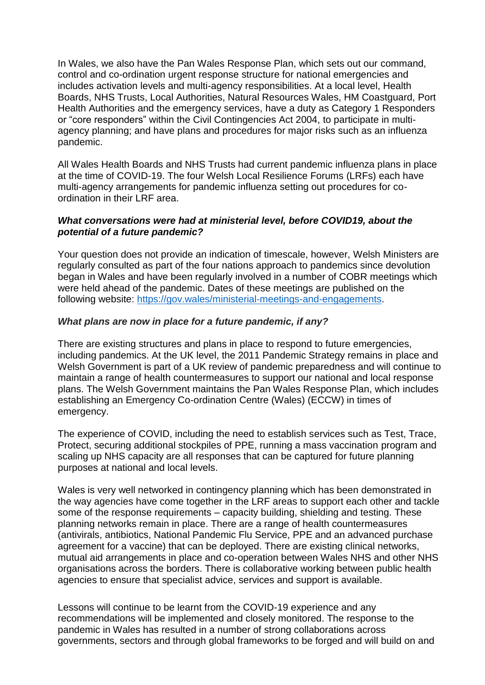In Wales, we also have the Pan Wales Response Plan, which sets out our command, control and co-ordination urgent response structure for national emergencies and includes activation levels and multi-agency responsibilities. At a local level, Health Boards, NHS Trusts, Local Authorities, Natural Resources Wales, HM Coastguard, Port Health Authorities and the emergency services, have a duty as Category 1 Responders or "core responders" within the Civil Contingencies Act 2004, to participate in multiagency planning; and have plans and procedures for major risks such as an influenza pandemic.

All Wales Health Boards and NHS Trusts had current pandemic influenza plans in place at the time of COVID-19. The four Welsh Local Resilience Forums (LRFs) each have multi-agency arrangements for pandemic influenza setting out procedures for coordination in their LRF area.

## *What conversations were had at ministerial level, before COVID19, about the potential of a future pandemic?*

Your question does not provide an indication of timescale, however, Welsh Ministers are regularly consulted as part of the four nations approach to pandemics since devolution began in Wales and have been regularly involved in a number of COBR meetings which were held ahead of the pandemic. Dates of these meetings are published on the following website: [https://gov.wales/ministerial-meetings-and-engagements.](https://gov.wales/ministerial-meetings-and-engagements)

# *What plans are now in place for a future pandemic, if any?*

There are existing structures and plans in place to respond to future emergencies, including pandemics. At the UK level, the 2011 Pandemic Strategy remains in place and Welsh Government is part of a UK review of pandemic preparedness and will continue to maintain a range of health countermeasures to support our national and local response plans. The Welsh Government maintains the Pan Wales Response Plan, which includes establishing an Emergency Co-ordination Centre (Wales) (ECCW) in times of emergency.

The experience of COVID, including the need to establish services such as Test, Trace, Protect, securing additional stockpiles of PPE, running a mass vaccination program and scaling up NHS capacity are all responses that can be captured for future planning purposes at national and local levels.

Wales is very well networked in contingency planning which has been demonstrated in the way agencies have come together in the LRF areas to support each other and tackle some of the response requirements – capacity building, shielding and testing. These planning networks remain in place. There are a range of health countermeasures (antivirals, antibiotics, National Pandemic Flu Service, PPE and an advanced purchase agreement for a vaccine) that can be deployed. There are existing clinical networks, mutual aid arrangements in place and co-operation between Wales NHS and other NHS organisations across the borders. There is collaborative working between public health agencies to ensure that specialist advice, services and support is available.

Lessons will continue to be learnt from the COVID-19 experience and any recommendations will be implemented and closely monitored. The response to the pandemic in Wales has resulted in a number of strong collaborations across governments, sectors and through global frameworks to be forged and will build on and